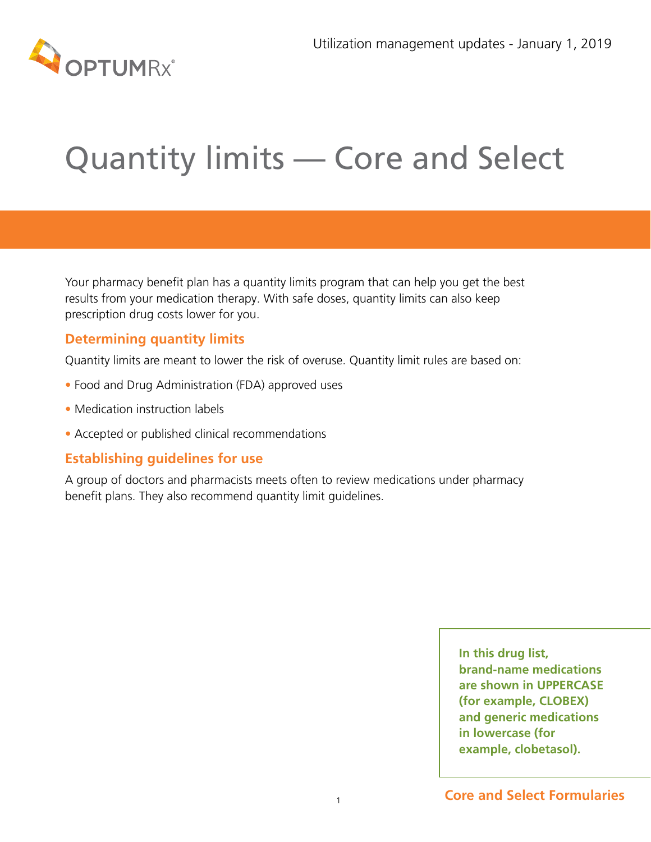

# Quantity limits — Core and Select

Your pharmacy benefit plan has a quantity limits program that can help you get the best results from your medication therapy. With safe doses, quantity limits can also keep prescription drug costs lower for you.

### **Determining quantity limits**

Quantity limits are meant to lower the risk of overuse. Quantity limit rules are based on:

- Food and Drug Administration (FDA) approved uses
- Medication instruction labels
- Accepted or published clinical recommendations

#### **Establishing guidelines for use**

A group of doctors and pharmacists meets often to review medications under pharmacy benefit plans. They also recommend quantity limit guidelines.

> **In this drug list, brand-name medications are shown in UPPERCASE (for example, CLOBEX) and generic medications in lowercase (for example, clobetasol).**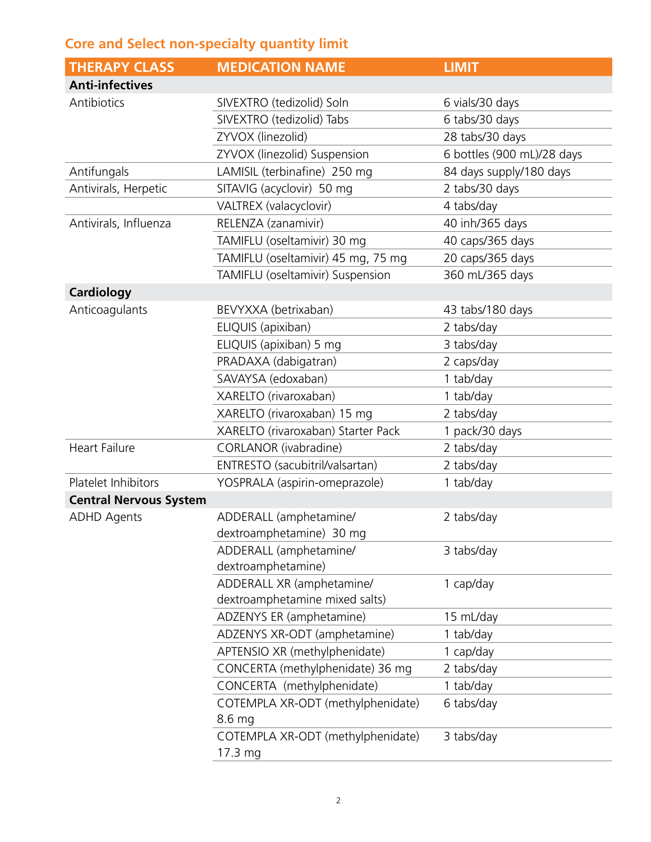## **Core and Select non-specialty quantity limit**

| <b>THERAPY CLASS</b>          | <b>MEDICATION NAME</b>                       | <b>LIMIT</b>               |
|-------------------------------|----------------------------------------------|----------------------------|
| <b>Anti-infectives</b>        |                                              |                            |
| Antibiotics                   | SIVEXTRO (tedizolid) Soln                    | 6 vials/30 days            |
|                               | SIVEXTRO (tedizolid) Tabs                    | 6 tabs/30 days             |
|                               | ZYVOX (linezolid)                            | 28 tabs/30 days            |
|                               | ZYVOX (linezolid) Suspension                 | 6 bottles (900 mL)/28 days |
| Antifungals                   | LAMISIL (terbinafine) 250 mg                 | 84 days supply/180 days    |
| Antivirals, Herpetic          | SITAVIG (acyclovir) 50 mg                    | 2 tabs/30 days             |
|                               | VALTREX (valacyclovir)                       | 4 tabs/day                 |
| Antivirals, Influenza         | RELENZA (zanamivir)                          | 40 inh/365 days            |
|                               | TAMIFLU (oseltamivir) 30 mg                  | 40 caps/365 days           |
|                               | TAMIFLU (oseltamivir) 45 mg, 75 mg           | 20 caps/365 days           |
|                               | TAMIFLU (oseltamivir) Suspension             | 360 mL/365 days            |
| Cardiology                    |                                              |                            |
| Anticoagulants                | BEVYXXA (betrixaban)                         | 43 tabs/180 days           |
|                               | ELIQUIS (apixiban)                           | 2 tabs/day                 |
|                               | ELIQUIS (apixiban) 5 mg                      | 3 tabs/day                 |
|                               | PRADAXA (dabigatran)                         | 2 caps/day                 |
|                               | SAVAYSA (edoxaban)                           | 1 tab/day                  |
|                               | XARELTO (rivaroxaban)                        | 1 tab/day                  |
|                               | XARELTO (rivaroxaban) 15 mg                  | 2 tabs/day                 |
|                               | XARELTO (rivaroxaban) Starter Pack           | 1 pack/30 days             |
| <b>Heart Failure</b>          | CORLANOR (ivabradine)                        | 2 tabs/day                 |
|                               | ENTRESTO (sacubitril/valsartan)              | 2 tabs/day                 |
| Platelet Inhibitors           | YOSPRALA (aspirin-omeprazole)                | 1 tab/day                  |
| <b>Central Nervous System</b> |                                              |                            |
| <b>ADHD Agents</b>            | ADDERALL (amphetamine/                       | 2 tabs/day                 |
|                               | dextroamphetamine) 30 mg                     |                            |
|                               | ADDERALL (amphetamine/                       | 3 tabs/day                 |
|                               | dextroamphetamine)                           |                            |
|                               | ADDERALL XR (amphetamine/                    | 1 cap/day                  |
|                               | dextroamphetamine mixed salts)               |                            |
|                               | ADZENYS ER (amphetamine)                     | 15 mL/day                  |
|                               | ADZENYS XR-ODT (amphetamine)                 | 1 tab/day                  |
|                               | APTENSIO XR (methylphenidate)                | 1 cap/day                  |
|                               | CONCERTA (methylphenidate) 36 mg             | 2 tabs/day                 |
|                               | CONCERTA (methylphenidate)                   | 1 tab/day                  |
|                               | COTEMPLA XR-ODT (methylphenidate)<br>8.6 mg  | 6 tabs/day                 |
|                               | COTEMPLA XR-ODT (methylphenidate)<br>17.3 mg | 3 tabs/day                 |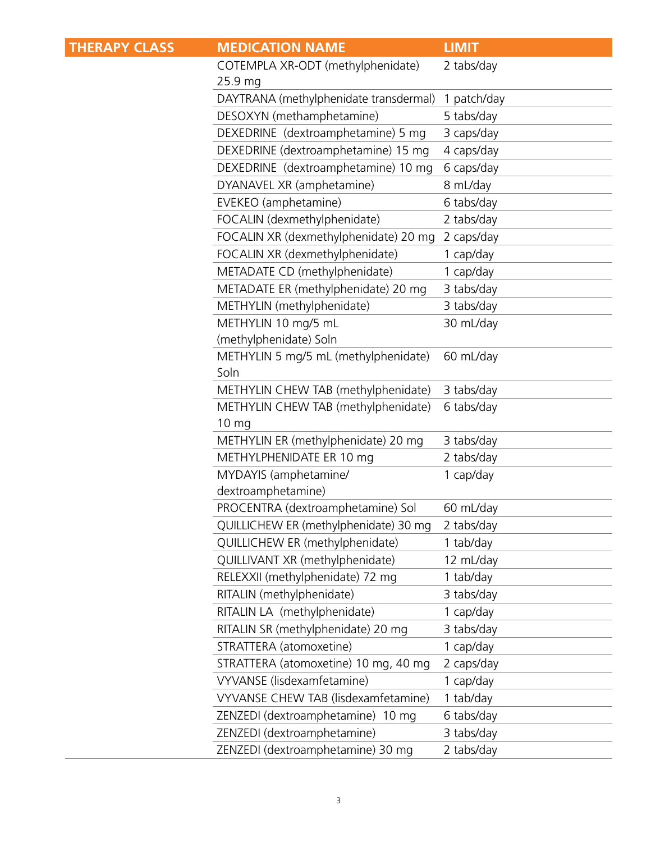| <b>THERAPY CLASS</b> | <b>MEDICATION NAME</b>                 | <b>LIMIT</b> |
|----------------------|----------------------------------------|--------------|
|                      | COTEMPLA XR-ODT (methylphenidate)      | 2 tabs/day   |
|                      | 25.9 mg                                |              |
|                      | DAYTRANA (methylphenidate transdermal) | 1 patch/day  |
|                      | DESOXYN (methamphetamine)              | 5 tabs/day   |
|                      | DEXEDRINE (dextroamphetamine) 5 mg     | 3 caps/day   |
|                      | DEXEDRINE (dextroamphetamine) 15 mg    | 4 caps/day   |
|                      | DEXEDRINE (dextroamphetamine) 10 mg    | 6 caps/day   |
|                      | DYANAVEL XR (amphetamine)              | 8 mL/day     |
|                      | EVEKEO (amphetamine)                   | 6 tabs/day   |
|                      | FOCALIN (dexmethylphenidate)           | 2 tabs/day   |
|                      | FOCALIN XR (dexmethylphenidate) 20 mg  | 2 caps/day   |
|                      | FOCALIN XR (dexmethylphenidate)        | 1 cap/day    |
|                      | METADATE CD (methylphenidate)          | 1 cap/day    |
|                      | METADATE ER (methylphenidate) 20 mg    | 3 tabs/day   |
|                      | METHYLIN (methylphenidate)             | 3 tabs/day   |
|                      | METHYLIN 10 mg/5 mL                    | 30 mL/day    |
|                      | (methylphenidate) Soln                 |              |
|                      | METHYLIN 5 mg/5 mL (methylphenidate)   | 60 mL/day    |
|                      | Soln                                   |              |
|                      | METHYLIN CHEW TAB (methylphenidate)    | 3 tabs/day   |
|                      | METHYLIN CHEW TAB (methylphenidate)    | 6 tabs/day   |
|                      | 10 <sub>mg</sub>                       |              |
|                      | METHYLIN ER (methylphenidate) 20 mg    | 3 tabs/day   |
|                      | METHYLPHENIDATE ER 10 mg               | 2 tabs/day   |
|                      | MYDAYIS (amphetamine/                  | 1 cap/day    |
|                      | dextroamphetamine)                     |              |
|                      | PROCENTRA (dextroamphetamine) Sol      | 60 mL/day    |
|                      | QUILLICHEW ER (methylphenidate) 30 mg  | 2 tabs/day   |
|                      | QUILLICHEW ER (methylphenidate)        | 1 tab/day    |
|                      | QUILLIVANT XR (methylphenidate)        | 12 mL/day    |
|                      | RELEXXII (methylphenidate) 72 mg       | 1 tab/day    |
|                      | RITALIN (methylphenidate)              | 3 tabs/day   |
|                      | RITALIN LA (methylphenidate)           | 1 cap/day    |
|                      | RITALIN SR (methylphenidate) 20 mg     | 3 tabs/day   |
|                      | STRATTERA (atomoxetine)                | 1 cap/day    |
|                      | STRATTERA (atomoxetine) 10 mg, 40 mg   | 2 caps/day   |
|                      | VYVANSE (lisdexamfetamine)             | 1 cap/day    |
|                      | VYVANSE CHEW TAB (lisdexamfetamine)    | 1 tab/day    |
|                      | ZENZEDI (dextroamphetamine) 10 mg      | 6 tabs/day   |
|                      | ZENZEDI (dextroamphetamine)            | 3 tabs/day   |
|                      | ZENZEDI (dextroamphetamine) 30 mg      | 2 tabs/day   |
|                      |                                        |              |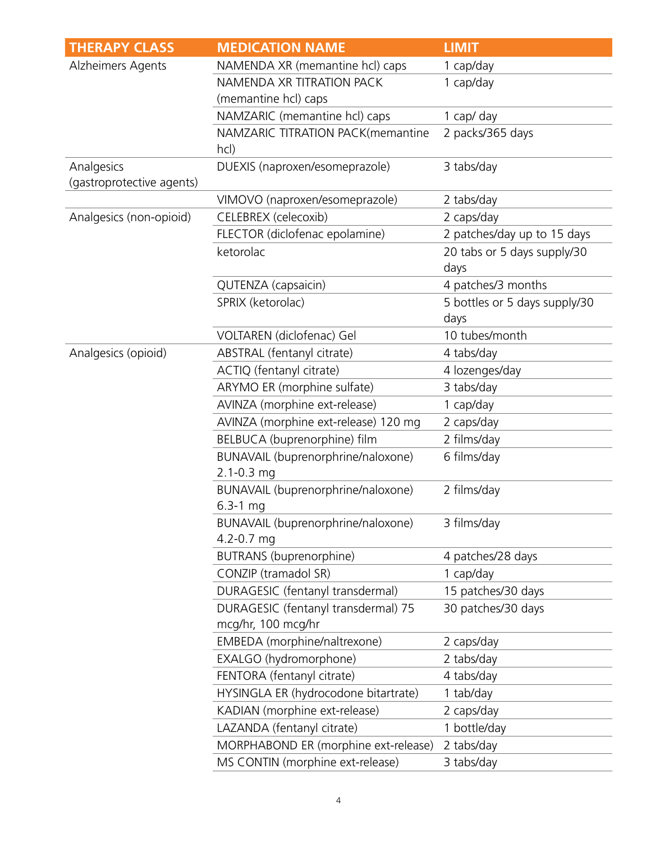| <b>THERAPY CLASS</b>                    | <b>MEDICATION NAME</b>                                    | <b>LIMIT</b>                          |
|-----------------------------------------|-----------------------------------------------------------|---------------------------------------|
| Alzheimers Agents                       | NAMENDA XR (memantine hcl) caps                           | 1 cap/day                             |
|                                         | NAMENDA XR TITRATION PACK                                 | 1 cap/day                             |
|                                         | (memantine hcl) caps                                      |                                       |
|                                         | NAMZARIC (memantine hcl) caps                             | 1 cap/ day                            |
|                                         | NAMZARIC TITRATION PACK(memantine<br>hcl)                 | 2 packs/365 days                      |
| Analgesics<br>(gastroprotective agents) | DUEXIS (naproxen/esomeprazole)                            | 3 tabs/day                            |
|                                         | VIMOVO (naproxen/esomeprazole)                            | 2 tabs/day                            |
| Analgesics (non-opioid)                 | CELEBREX (celecoxib)                                      | 2 caps/day                            |
|                                         | FLECTOR (diclofenac epolamine)                            | 2 patches/day up to 15 days           |
|                                         | ketorolac                                                 | 20 tabs or 5 days supply/30<br>days   |
|                                         | QUTENZA (capsaicin)                                       | 4 patches/3 months                    |
|                                         | SPRIX (ketorolac)                                         | 5 bottles or 5 days supply/30<br>days |
|                                         | VOLTAREN (diclofenac) Gel                                 | 10 tubes/month                        |
| Analgesics (opioid)                     | ABSTRAL (fentanyl citrate)                                | 4 tabs/day                            |
|                                         | ACTIQ (fentanyl citrate)                                  | 4 lozenges/day                        |
|                                         | ARYMO ER (morphine sulfate)                               | 3 tabs/day                            |
|                                         | AVINZA (morphine ext-release)                             | 1 cap/day                             |
|                                         | AVINZA (morphine ext-release) 120 mg                      | 2 caps/day                            |
|                                         | BELBUCA (buprenorphine) film                              | 2 films/day                           |
|                                         | BUNAVAIL (buprenorphrine/naloxone)<br>$2.1 - 0.3$ mg      | 6 films/day                           |
|                                         | BUNAVAIL (buprenorphrine/naloxone)<br>6.3-1 mg            | 2 films/day                           |
|                                         | BUNAVAIL (buprenorphrine/naloxone)<br>4.2-0.7 mg          | 3 films/day                           |
|                                         | BUTRANS (buprenorphine)                                   | 4 patches/28 days                     |
|                                         | CONZIP (tramadol SR)                                      | 1 cap/day                             |
|                                         | DURAGESIC (fentanyl transdermal)                          | 15 patches/30 days                    |
|                                         | DURAGESIC (fentanyl transdermal) 75<br>mcg/hr, 100 mcg/hr | 30 patches/30 days                    |
|                                         | EMBEDA (morphine/naltrexone)                              | 2 caps/day                            |
|                                         | EXALGO (hydromorphone)                                    | 2 tabs/day                            |
|                                         | FENTORA (fentanyl citrate)                                | 4 tabs/day                            |
|                                         | HYSINGLA ER (hydrocodone bitartrate)                      | 1 tab/day                             |
|                                         | KADIAN (morphine ext-release)                             | 2 caps/day                            |
|                                         | LAZANDA (fentanyl citrate)                                | 1 bottle/day                          |
|                                         | MORPHABOND ER (morphine ext-release)                      | 2 tabs/day                            |
|                                         | MS CONTIN (morphine ext-release)                          | 3 tabs/day                            |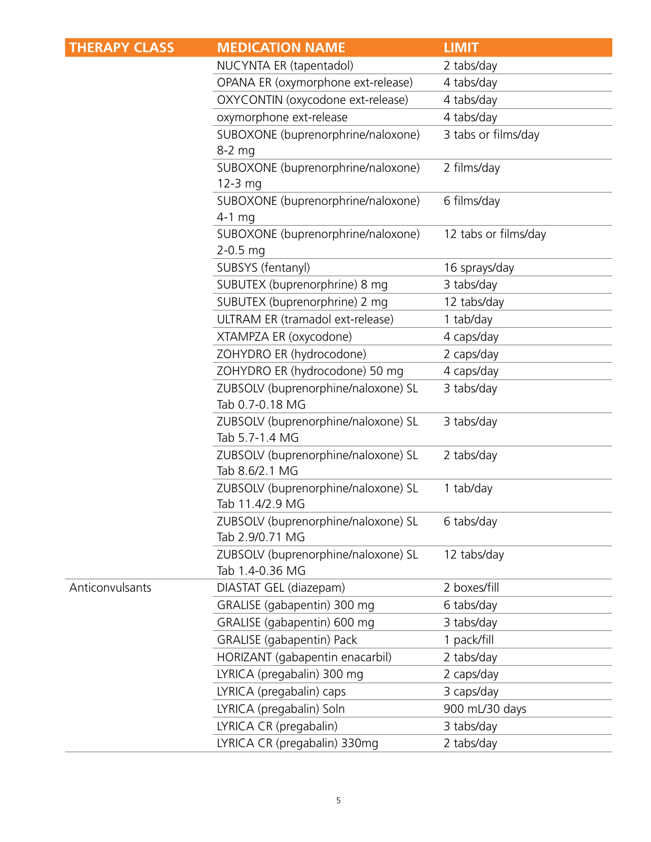| <b>THERAPY CLASS</b> | <b>MEDICATION NAME</b>                                 | <b>LIMIT</b>         |
|----------------------|--------------------------------------------------------|----------------------|
|                      | NUCYNTA ER (tapentadol)                                | 2 tabs/day           |
|                      | OPANA ER (oxymorphone ext-release)                     | 4 tabs/day           |
|                      | OXYCONTIN (oxycodone ext-release)                      | 4 tabs/day           |
|                      | oxymorphone ext-release                                | 4 tabs/day           |
|                      | SUBOXONE (buprenorphrine/naloxone)                     | 3 tabs or films/day  |
|                      | $8-2$ mg                                               |                      |
|                      | SUBOXONE (buprenorphrine/naloxone)<br>12-3 mg          | 2 films/day          |
|                      | SUBOXONE (buprenorphrine/naloxone)<br>4-1 mg           | 6 films/day          |
|                      | SUBOXONE (buprenorphrine/naloxone)<br>2-0.5 mg         | 12 tabs or films/day |
|                      | SUBSYS (fentanyl)                                      | 16 sprays/day        |
|                      | SUBUTEX (buprenorphrine) 8 mg                          | 3 tabs/day           |
|                      | SUBUTEX (buprenorphrine) 2 mg                          | 12 tabs/day          |
|                      | ULTRAM ER (tramadol ext-release)                       | 1 tab/day            |
|                      | XTAMPZA ER (oxycodone)                                 | 4 caps/day           |
|                      | ZOHYDRO ER (hydrocodone)                               | 2 caps/day           |
|                      | ZOHYDRO ER (hydrocodone) 50 mg                         | 4 caps/day           |
|                      | ZUBSOLV (buprenorphine/naloxone) SL<br>Tab 0.7-0.18 MG | 3 tabs/day           |
|                      | ZUBSOLV (buprenorphine/naloxone) SL<br>Tab 5.7-1.4 MG  | 3 tabs/day           |
|                      | ZUBSOLV (buprenorphine/naloxone) SL<br>Tab 8.6/2.1 MG  | 2 tabs/day           |
|                      | ZUBSOLV (buprenorphine/naloxone) SL<br>Tab 11.4/2.9 MG | 1 tab/day            |
|                      | ZUBSOLV (buprenorphine/naloxone) SL<br>Tab 2.9/0.71 MG | 6 tabs/day           |
|                      | ZUBSOLV (buprenorphine/naloxone) SL<br>Tab 1.4-0.36 MG | 12 tabs/day          |
| Anticonvulsants      | DIASTAT GEL (diazepam)                                 | 2 boxes/fill         |
|                      | GRALISE (gabapentin) 300 mg                            | 6 tabs/day           |
|                      | GRALISE (gabapentin) 600 mg                            | 3 tabs/day           |
|                      | GRALISE (gabapentin) Pack                              | 1 pack/fill          |
|                      | HORIZANT (gabapentin enacarbil)                        | 2 tabs/day           |
|                      | LYRICA (pregabalin) 300 mg                             | 2 caps/day           |
|                      | LYRICA (pregabalin) caps                               | 3 caps/day           |
|                      | LYRICA (pregabalin) Soln                               | 900 mL/30 days       |
|                      | LYRICA CR (pregabalin)                                 | 3 tabs/day           |
|                      | LYRICA CR (pregabalin) 330mg                           | 2 tabs/day           |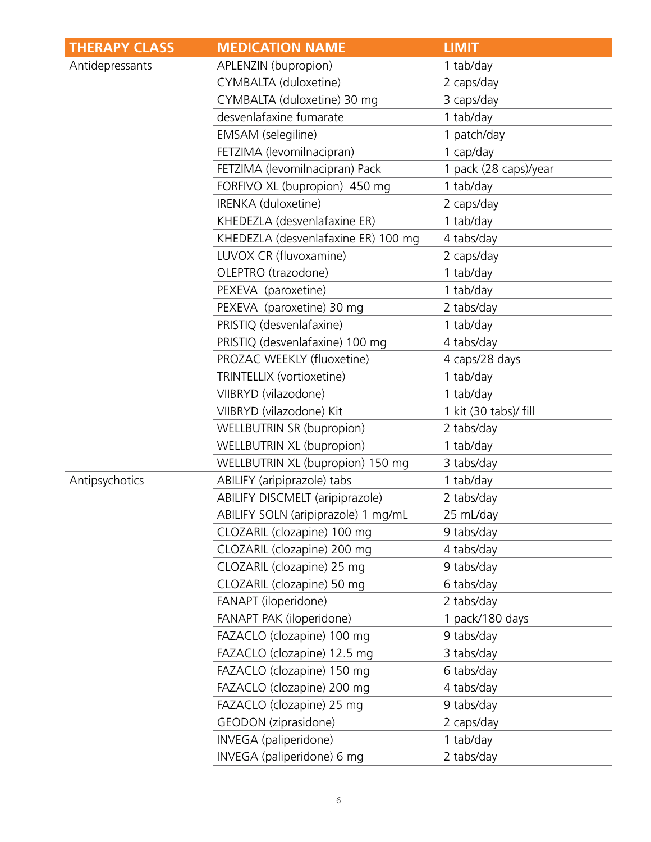| <b>THERAPY CLASS</b> | <b>MEDICATION NAME</b>              | <b>LIMIT</b>          |
|----------------------|-------------------------------------|-----------------------|
| Antidepressants      | APLENZIN (bupropion)                | 1 tab/day             |
|                      | CYMBALTA (duloxetine)               | 2 caps/day            |
|                      | CYMBALTA (duloxetine) 30 mg         | 3 caps/day            |
|                      | desvenlafaxine fumarate             | 1 tab/day             |
|                      | EMSAM (selegiline)                  | 1 patch/day           |
|                      | FETZIMA (levomilnacipran)           | 1 cap/day             |
|                      | FETZIMA (levomilnacipran) Pack      | 1 pack (28 caps)/year |
|                      | FORFIVO XL (bupropion) 450 mg       | 1 tab/day             |
|                      | IRENKA (duloxetine)                 | 2 caps/day            |
|                      | KHEDEZLA (desvenlafaxine ER)        | 1 tab/day             |
|                      | KHEDEZLA (desvenlafaxine ER) 100 mg | 4 tabs/day            |
|                      | LUVOX CR (fluvoxamine)              | 2 caps/day            |
|                      | OLEPTRO (trazodone)                 | 1 tab/day             |
|                      | PEXEVA (paroxetine)                 | 1 tab/day             |
|                      | PEXEVA (paroxetine) 30 mg           | 2 tabs/day            |
|                      | PRISTIQ (desvenlafaxine)            | 1 tab/day             |
|                      | PRISTIQ (desvenlafaxine) 100 mg     | 4 tabs/day            |
|                      | PROZAC WEEKLY (fluoxetine)          | 4 caps/28 days        |
|                      | TRINTELLIX (vortioxetine)           | 1 tab/day             |
|                      | VIIBRYD (vilazodone)                | 1 tab/day             |
|                      | VIIBRYD (vilazodone) Kit            | 1 kit (30 tabs)/ fill |
|                      | <b>WELLBUTRIN SR (bupropion)</b>    | 2 tabs/day            |
|                      | WELLBUTRIN XL (bupropion)           | 1 tab/day             |
|                      | WELLBUTRIN XL (bupropion) 150 mg    | 3 tabs/day            |
| Antipsychotics       | ABILIFY (aripiprazole) tabs         | 1 tab/day             |
|                      | ABILIFY DISCMELT (aripiprazole)     | 2 tabs/day            |
|                      | ABILIFY SOLN (aripiprazole) 1 mg/mL | 25 mL/day             |
|                      | CLOZARIL (clozapine) 100 mg         | 9 tabs/day            |
|                      | CLOZARIL (clozapine) 200 mg         | 4 tabs/day            |
|                      | CLOZARIL (clozapine) 25 mg          | 9 tabs/day            |
|                      | CLOZARIL (clozapine) 50 mg          | 6 tabs/day            |
|                      | FANAPT (iloperidone)                | 2 tabs/day            |
|                      | FANAPT PAK (iloperidone)            | 1 pack/180 days       |
|                      | FAZACLO (clozapine) 100 mg          | 9 tabs/day            |
|                      | FAZACLO (clozapine) 12.5 mg         | 3 tabs/day            |
|                      | FAZACLO (clozapine) 150 mg          | 6 tabs/day            |
|                      | FAZACLO (clozapine) 200 mg          | 4 tabs/day            |
|                      | FAZACLO (clozapine) 25 mg           | 9 tabs/day            |
|                      | GEODON (ziprasidone)                | 2 caps/day            |
|                      | INVEGA (paliperidone)               | 1 tab/day             |
|                      | INVEGA (paliperidone) 6 mg          | 2 tabs/day            |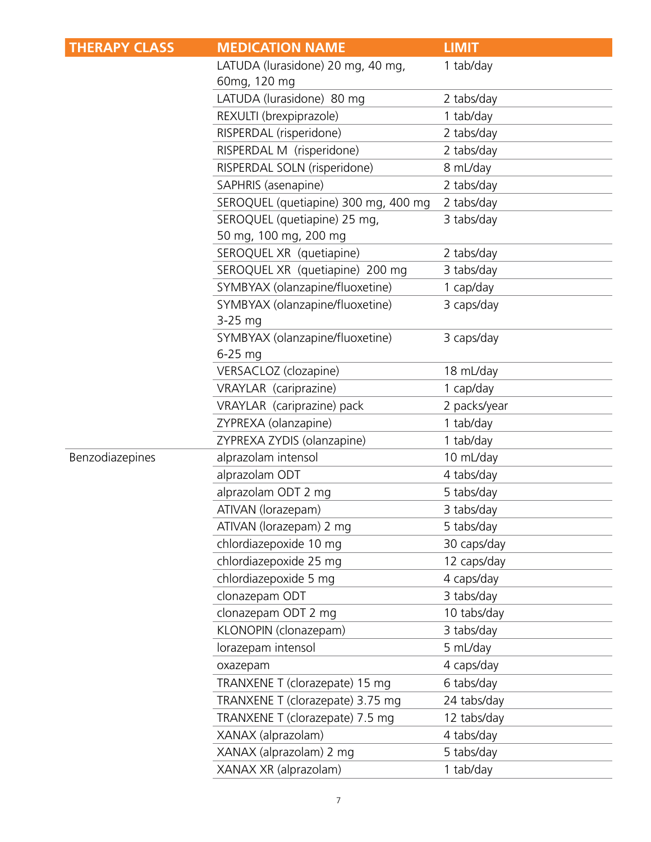| <b>THERAPY CLASS</b> | <b>MEDICATION NAME</b>                       | <b>LIMIT</b> |
|----------------------|----------------------------------------------|--------------|
|                      | LATUDA (lurasidone) 20 mg, 40 mg,            | 1 tab/day    |
|                      | 60mg, 120 mg                                 |              |
|                      | LATUDA (lurasidone) 80 mg                    | 2 tabs/day   |
|                      | REXULTI (brexpiprazole)                      | 1 tab/day    |
|                      | RISPERDAL (risperidone)                      | 2 tabs/day   |
|                      | RISPERDAL M (risperidone)                    | 2 tabs/day   |
|                      | RISPERDAL SOLN (risperidone)                 | 8 mL/day     |
|                      | SAPHRIS (asenapine)                          | 2 tabs/day   |
|                      | SEROQUEL (quetiapine) 300 mg, 400 mg         | 2 tabs/day   |
|                      | SEROQUEL (quetiapine) 25 mg,                 | 3 tabs/day   |
|                      | 50 mg, 100 mg, 200 mg                        |              |
|                      | SEROQUEL XR (quetiapine)                     | 2 tabs/day   |
|                      | SEROQUEL XR (quetiapine) 200 mg              | 3 tabs/day   |
|                      | SYMBYAX (olanzapine/fluoxetine)              | 1 cap/day    |
|                      | SYMBYAX (olanzapine/fluoxetine)<br>$3-25$ mg | 3 caps/day   |
|                      | SYMBYAX (olanzapine/fluoxetine)<br>6-25 mg   | 3 caps/day   |
|                      | VERSACLOZ (clozapine)                        | 18 mL/day    |
|                      | VRAYLAR (cariprazine)                        | 1 cap/day    |
|                      | VRAYLAR (cariprazine) pack                   | 2 packs/year |
|                      | ZYPREXA (olanzapine)                         | 1 tab/day    |
|                      | ZYPREXA ZYDIS (olanzapine)                   | 1 tab/day    |
| Benzodiazepines      | alprazolam intensol                          | 10 mL/day    |
|                      | alprazolam ODT                               | 4 tabs/day   |
|                      | alprazolam ODT 2 mg                          | 5 tabs/day   |
|                      | ATIVAN (lorazepam)                           | 3 tabs/day   |
|                      | ATIVAN (lorazepam) 2 mg                      | 5 tabs/day   |
|                      | chlordiazepoxide 10 mg                       | 30 caps/day  |
|                      | chlordiazepoxide 25 mg                       | 12 caps/day  |
|                      | chlordiazepoxide 5 mg                        | 4 caps/day   |
|                      | clonazepam ODT                               | 3 tabs/day   |
|                      | clonazepam ODT 2 mg                          | 10 tabs/day  |
|                      | KLONOPIN (clonazepam)                        | 3 tabs/day   |
|                      | lorazepam intensol                           | 5 mL/day     |
|                      | oxazepam                                     | 4 caps/day   |
|                      | TRANXENE T (clorazepate) 15 mg               | 6 tabs/day   |
|                      | TRANXENE T (clorazepate) 3.75 mg             | 24 tabs/day  |
|                      | TRANXENE T (clorazepate) 7.5 mg              | 12 tabs/day  |
|                      | XANAX (alprazolam)                           | 4 tabs/day   |
|                      | XANAX (alprazolam) 2 mg                      | 5 tabs/day   |
|                      | XANAX XR (alprazolam)                        | 1 tab/day    |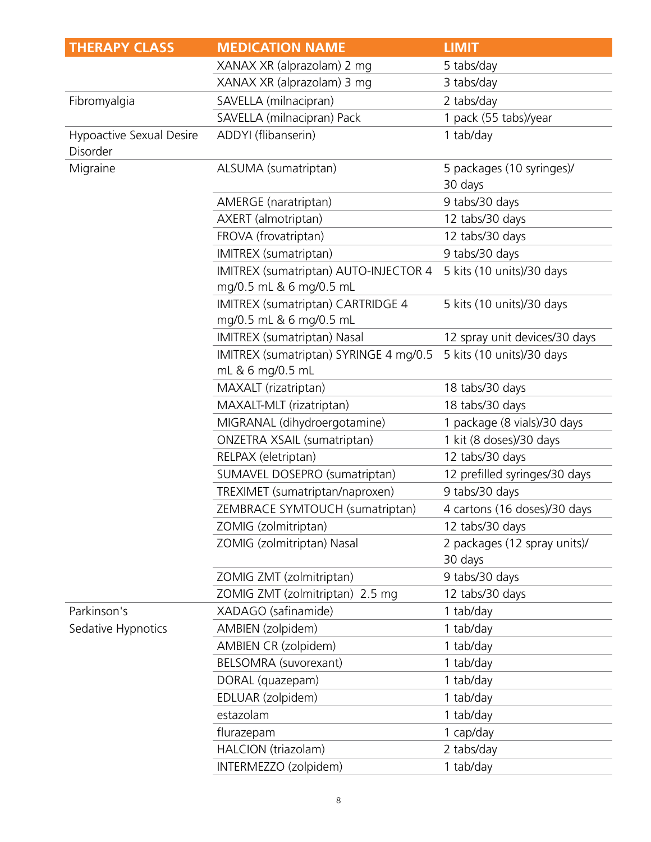| <b>THERAPY CLASS</b>                               | <b>MEDICATION NAME</b>                                           | <b>LIMIT</b>                            |
|----------------------------------------------------|------------------------------------------------------------------|-----------------------------------------|
|                                                    | XANAX XR (alprazolam) 2 mg                                       | 5 tabs/day                              |
|                                                    | XANAX XR (alprazolam) 3 mg                                       | 3 tabs/day                              |
| Fibromyalgia                                       | SAVELLA (milnacipran)                                            | 2 tabs/day                              |
|                                                    | SAVELLA (milnacipran) Pack                                       | 1 pack (55 tabs)/year                   |
| <b>Hypoactive Sexual Desire</b><br><b>Disorder</b> | ADDYI (flibanserin)                                              | 1 tab/day                               |
| Migraine                                           | ALSUMA (sumatriptan)                                             | 5 packages (10 syringes)/<br>30 days    |
|                                                    | AMERGE (naratriptan)                                             | 9 tabs/30 days                          |
|                                                    | AXERT (almotriptan)                                              | 12 tabs/30 days                         |
|                                                    | FROVA (frovatriptan)                                             | 12 tabs/30 days                         |
|                                                    | IMITREX (sumatriptan)                                            | 9 tabs/30 days                          |
|                                                    | IMITREX (sumatriptan) AUTO-INJECTOR 4<br>mg/0.5 mL & 6 mg/0.5 mL | 5 kits (10 units)/30 days               |
|                                                    | IMITREX (sumatriptan) CARTRIDGE 4<br>mg/0.5 mL & 6 mg/0.5 mL     | 5 kits (10 units)/30 days               |
|                                                    | IMITREX (sumatriptan) Nasal                                      | 12 spray unit devices/30 days           |
|                                                    | IMITREX (sumatriptan) SYRINGE 4 mg/0.5<br>mL & 6 mg/0.5 mL       | 5 kits (10 units)/30 days               |
|                                                    | MAXALT (rizatriptan)                                             | 18 tabs/30 days                         |
|                                                    | MAXALT-MLT (rizatriptan)                                         | 18 tabs/30 days                         |
|                                                    | MIGRANAL (dihydroergotamine)                                     | 1 package (8 vials)/30 days             |
|                                                    | <b>ONZETRA XSAIL (sumatriptan)</b>                               | 1 kit (8 doses)/30 days                 |
|                                                    | RELPAX (eletriptan)                                              | 12 tabs/30 days                         |
|                                                    | SUMAVEL DOSEPRO (sumatriptan)                                    | 12 prefilled syringes/30 days           |
|                                                    | TREXIMET (sumatriptan/naproxen)                                  | 9 tabs/30 days                          |
|                                                    | ZEMBRACE SYMTOUCH (sumatriptan)                                  | 4 cartons (16 doses)/30 days            |
|                                                    | ZOMIG (zolmitriptan)                                             | 12 tabs/30 days                         |
|                                                    | ZOMIG (zolmitriptan) Nasal                                       | 2 packages (12 spray units)/<br>30 days |
|                                                    | ZOMIG ZMT (zolmitriptan)                                         | 9 tabs/30 days                          |
|                                                    | ZOMIG ZMT (zolmitriptan) 2.5 mg                                  | 12 tabs/30 days                         |
| Parkinson's                                        | XADAGO (safinamide)                                              | 1 tab/day                               |
| Sedative Hypnotics                                 | AMBIEN (zolpidem)                                                | 1 tab/day                               |
|                                                    | AMBIEN CR (zolpidem)                                             | 1 tab/day                               |
|                                                    | BELSOMRA (suvorexant)                                            | 1 tab/day                               |
|                                                    | DORAL (quazepam)                                                 | 1 tab/day                               |
|                                                    | EDLUAR (zolpidem)                                                | 1 tab/day                               |
|                                                    | estazolam                                                        | 1 tab/day                               |
|                                                    | flurazepam                                                       | 1 cap/day                               |
|                                                    | HALCION (triazolam)                                              | 2 tabs/day                              |
|                                                    | INTERMEZZO (zolpidem)                                            | 1 tab/day                               |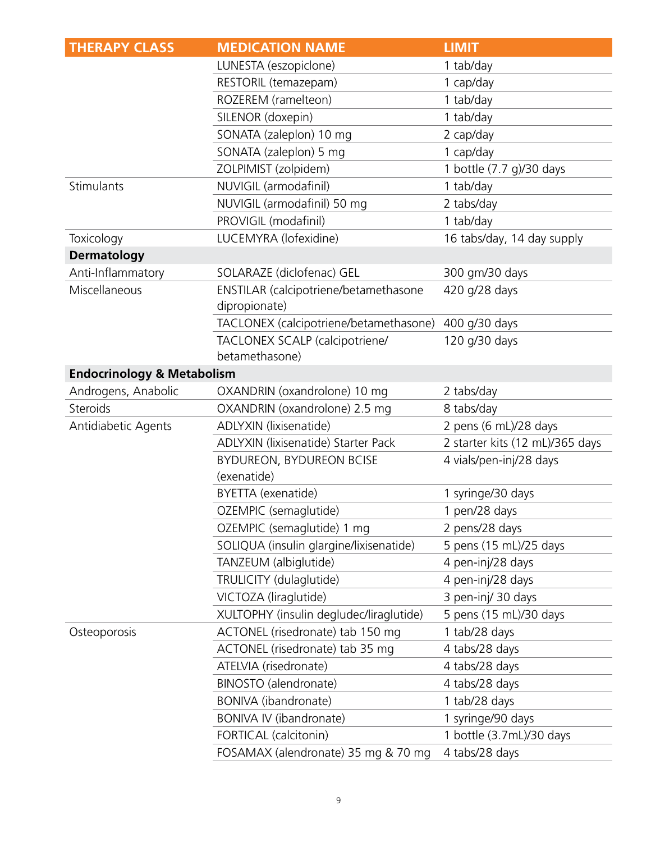| <b>THERAPY CLASS</b>                  | <b>MEDICATION NAME</b>                                 | <b>LIMIT</b>                    |
|---------------------------------------|--------------------------------------------------------|---------------------------------|
|                                       | LUNESTA (eszopiclone)                                  | 1 tab/day                       |
|                                       | RESTORIL (temazepam)                                   | 1 cap/day                       |
|                                       | ROZEREM (ramelteon)                                    | 1 tab/day                       |
|                                       | SILENOR (doxepin)                                      | 1 tab/day                       |
|                                       | SONATA (zaleplon) 10 mg                                | 2 cap/day                       |
|                                       | SONATA (zaleplon) 5 mg                                 | 1 cap/day                       |
|                                       | ZOLPIMIST (zolpidem)                                   | 1 bottle (7.7 g)/30 days        |
| Stimulants                            | NUVIGIL (armodafinil)                                  | 1 tab/day                       |
|                                       | NUVIGIL (armodafinil) 50 mg                            | 2 tabs/day                      |
|                                       | PROVIGIL (modafinil)                                   | 1 tab/day                       |
| Toxicology                            | LUCEMYRA (lofexidine)                                  | 16 tabs/day, 14 day supply      |
| <b>Dermatology</b>                    |                                                        |                                 |
| Anti-Inflammatory                     | SOLARAZE (diclofenac) GEL                              | 300 gm/30 days                  |
| Miscellaneous                         | ENSTILAR (calcipotriene/betamethasone<br>dipropionate) | 420 g/28 days                   |
|                                       | TACLONEX (calcipotriene/betamethasone)                 | 400 g/30 days                   |
|                                       | TACLONEX SCALP (calcipotriene/<br>betamethasone)       | 120 g/30 days                   |
| <b>Endocrinology &amp; Metabolism</b> |                                                        |                                 |
| Androgens, Anabolic                   | OXANDRIN (oxandrolone) 10 mg                           | 2 tabs/day                      |
| Steroids                              | OXANDRIN (oxandrolone) 2.5 mg                          | 8 tabs/day                      |
| Antidiabetic Agents                   | ADLYXIN (lixisenatide)                                 | 2 pens (6 mL)/28 days           |
|                                       | ADLYXIN (lixisenatide) Starter Pack                    | 2 starter kits (12 mL)/365 days |
|                                       | BYDUREON, BYDUREON BCISE                               | 4 vials/pen-inj/28 days         |
|                                       | (exenatide)                                            |                                 |
|                                       | BYETTA (exenatide)                                     | 1 syringe/30 days               |
|                                       | OZEMPIC (semaglutide)                                  | 1 pen/28 days                   |
|                                       | OZEMPIC (semaglutide) 1 mg                             | 2 pens/28 days                  |
|                                       | SOLIQUA (insulin glargine/lixisenatide)                | 5 pens (15 mL)/25 days          |
|                                       | TANZEUM (albiglutide)                                  | 4 pen-inj/28 days               |
|                                       | TRULICITY (dulaglutide)                                | 4 pen-inj/28 days               |
|                                       | VICTOZA (liraglutide)                                  | 3 pen-inj/ 30 days              |
|                                       | XULTOPHY (insulin degludec/liraglutide)                | 5 pens (15 mL)/30 days          |
| Osteoporosis                          | ACTONEL (risedronate) tab 150 mg                       | 1 tab/28 days                   |
|                                       | ACTONEL (risedronate) tab 35 mg                        | 4 tabs/28 days                  |
|                                       | ATELVIA (risedronate)                                  | 4 tabs/28 days                  |
|                                       | BINOSTO (alendronate)                                  | 4 tabs/28 days                  |
|                                       | BONIVA (ibandronate)                                   | 1 tab/28 days                   |
|                                       | BONIVA IV (ibandronate)                                | 1 syringe/90 days               |
|                                       | FORTICAL (calcitonin)                                  | 1 bottle (3.7mL)/30 days        |
|                                       | FOSAMAX (alendronate) 35 mg & 70 mg                    | 4 tabs/28 days                  |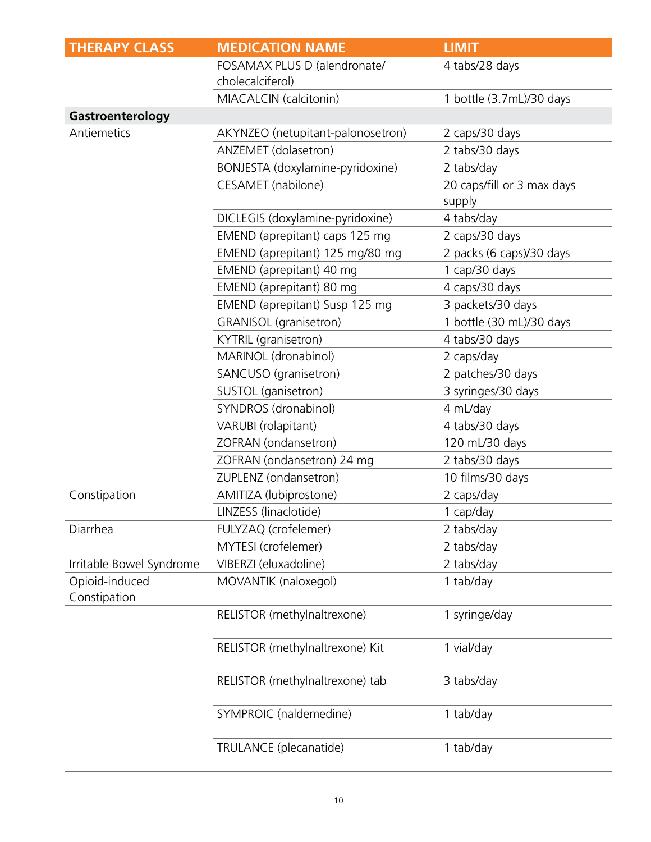| <b>THERAPY CLASS</b>           | <b>MEDICATION NAME</b>            | <b>LIMIT</b>               |
|--------------------------------|-----------------------------------|----------------------------|
|                                | FOSAMAX PLUS D (alendronate/      | 4 tabs/28 days             |
|                                | cholecalciferol)                  |                            |
|                                | MIACALCIN (calcitonin)            | 1 bottle (3.7mL)/30 days   |
| Gastroenterology               |                                   |                            |
| Antiemetics                    | AKYNZEO (netupitant-palonosetron) | 2 caps/30 days             |
|                                | ANZEMET (dolasetron)              | 2 tabs/30 days             |
|                                | BONJESTA (doxylamine-pyridoxine)  | 2 tabs/day                 |
|                                | CESAMET (nabilone)                | 20 caps/fill or 3 max days |
|                                |                                   | supply                     |
|                                | DICLEGIS (doxylamine-pyridoxine)  | 4 tabs/day                 |
|                                | EMEND (aprepitant) caps 125 mg    | 2 caps/30 days             |
|                                | EMEND (aprepitant) 125 mg/80 mg   | 2 packs (6 caps)/30 days   |
|                                | EMEND (aprepitant) 40 mg          | 1 cap/30 days              |
|                                | EMEND (aprepitant) 80 mg          | 4 caps/30 days             |
|                                | EMEND (aprepitant) Susp 125 mg    | 3 packets/30 days          |
|                                | GRANISOL (granisetron)            | 1 bottle (30 mL)/30 days   |
|                                | KYTRIL (granisetron)              | 4 tabs/30 days             |
|                                | MARINOL (dronabinol)              | 2 caps/day                 |
|                                | SANCUSO (granisetron)             | 2 patches/30 days          |
|                                | SUSTOL (ganisetron)               | 3 syringes/30 days         |
|                                | SYNDROS (dronabinol)              | 4 mL/day                   |
|                                | VARUBI (rolapitant)               | 4 tabs/30 days             |
|                                | ZOFRAN (ondansetron)              | 120 mL/30 days             |
|                                | ZOFRAN (ondansetron) 24 mg        | 2 tabs/30 days             |
|                                | ZUPLENZ (ondansetron)             | 10 films/30 days           |
| Constipation                   | AMITIZA (lubiprostone)            | 2 caps/day                 |
|                                | LINZESS (linaclotide)             | 1 cap/day                  |
| Diarrhea                       | FULYZAQ (crofelemer)              | 2 tabs/day                 |
|                                | MYTESI (crofelemer)               | 2 tabs/day                 |
| Irritable Bowel Syndrome       | VIBERZI (eluxadoline)             | 2 tabs/day                 |
| Opioid-induced<br>Constipation | MOVANTIK (naloxegol)              | 1 tab/day                  |
|                                | RELISTOR (methylnaltrexone)       | 1 syringe/day              |
|                                | RELISTOR (methylnaltrexone) Kit   | 1 vial/day                 |
|                                | RELISTOR (methylnaltrexone) tab   | 3 tabs/day                 |
|                                | SYMPROIC (naldemedine)            | 1 tab/day                  |
|                                | TRULANCE (plecanatide)            | 1 tab/day                  |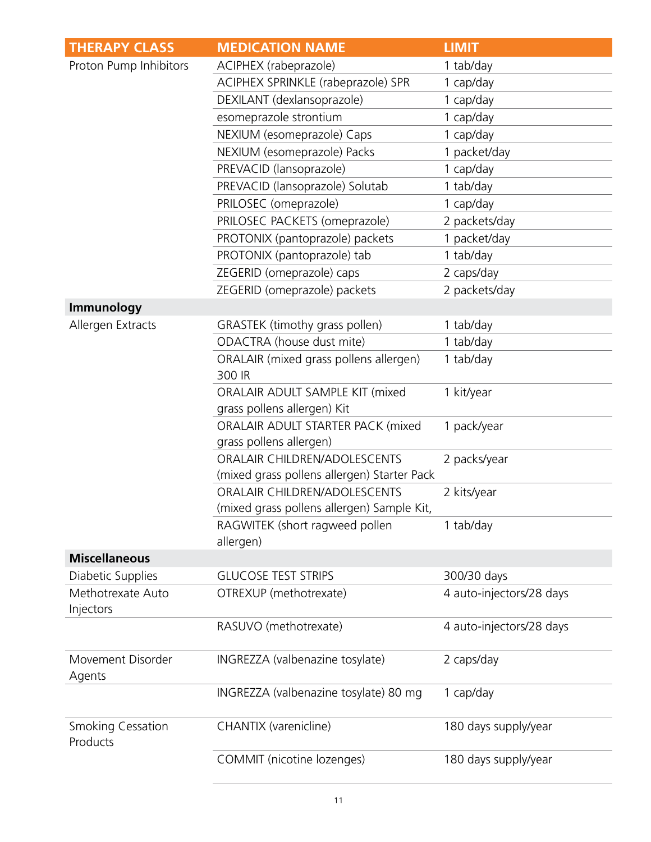| <b>THERAPY CLASS</b>                 | <b>MEDICATION NAME</b>                                       | <b>LIMIT</b>             |
|--------------------------------------|--------------------------------------------------------------|--------------------------|
| Proton Pump Inhibitors               | ACIPHEX (rabeprazole)                                        | 1 tab/day                |
|                                      | ACIPHEX SPRINKLE (rabeprazole) SPR                           | 1 cap/day                |
|                                      | DEXILANT (dexlansoprazole)                                   | 1 cap/day                |
|                                      | esomeprazole strontium                                       | 1 cap/day                |
|                                      | NEXIUM (esomeprazole) Caps                                   | 1 cap/day                |
|                                      | NEXIUM (esomeprazole) Packs                                  | 1 packet/day             |
|                                      | PREVACID (lansoprazole)                                      | 1 cap/day                |
|                                      | PREVACID (lansoprazole) Solutab                              | 1 tab/day                |
|                                      | PRILOSEC (omeprazole)                                        | 1 cap/day                |
|                                      | PRILOSEC PACKETS (omeprazole)                                | 2 packets/day            |
|                                      | PROTONIX (pantoprazole) packets                              | 1 packet/day             |
|                                      | PROTONIX (pantoprazole) tab                                  | 1 tab/day                |
|                                      | ZEGERID (omeprazole) caps                                    | 2 caps/day               |
|                                      | ZEGERID (omeprazole) packets                                 | 2 packets/day            |
| Immunology                           |                                                              |                          |
| Allergen Extracts                    | GRASTEK (timothy grass pollen)                               | 1 tab/day                |
|                                      | ODACTRA (house dust mite)                                    | 1 tab/day                |
|                                      | ORALAIR (mixed grass pollens allergen)<br>300 IR             | 1 tab/day                |
|                                      | ORALAIR ADULT SAMPLE KIT (mixed                              | 1 kit/year               |
|                                      | grass pollens allergen) Kit                                  |                          |
|                                      | ORALAIR ADULT STARTER PACK (mixed<br>grass pollens allergen) | 1 pack/year              |
|                                      | ORALAIR CHILDREN/ADOLESCENTS                                 | 2 packs/year             |
|                                      | (mixed grass pollens allergen) Starter Pack                  |                          |
|                                      | ORALAIR CHILDREN/ADOLESCENTS                                 | 2 kits/year              |
|                                      | (mixed grass pollens allergen) Sample Kit,                   |                          |
|                                      | RAGWITEK (short ragweed pollen<br>allergen)                  | 1 tab/day                |
| <b>Miscellaneous</b>                 |                                                              |                          |
| Diabetic Supplies                    | <b>GLUCOSE TEST STRIPS</b>                                   | 300/30 days              |
| Methotrexate Auto<br>Injectors       | OTREXUP (methotrexate)                                       | 4 auto-injectors/28 days |
|                                      | RASUVO (methotrexate)                                        | 4 auto-injectors/28 days |
| Movement Disorder<br>Agents          | INGREZZA (valbenazine tosylate)                              | 2 caps/day               |
|                                      | INGREZZA (valbenazine tosylate) 80 mg                        | 1 cap/day                |
| <b>Smoking Cessation</b><br>Products | CHANTIX (varenicline)                                        | 180 days supply/year     |
|                                      | COMMIT (nicotine lozenges)                                   | 180 days supply/year     |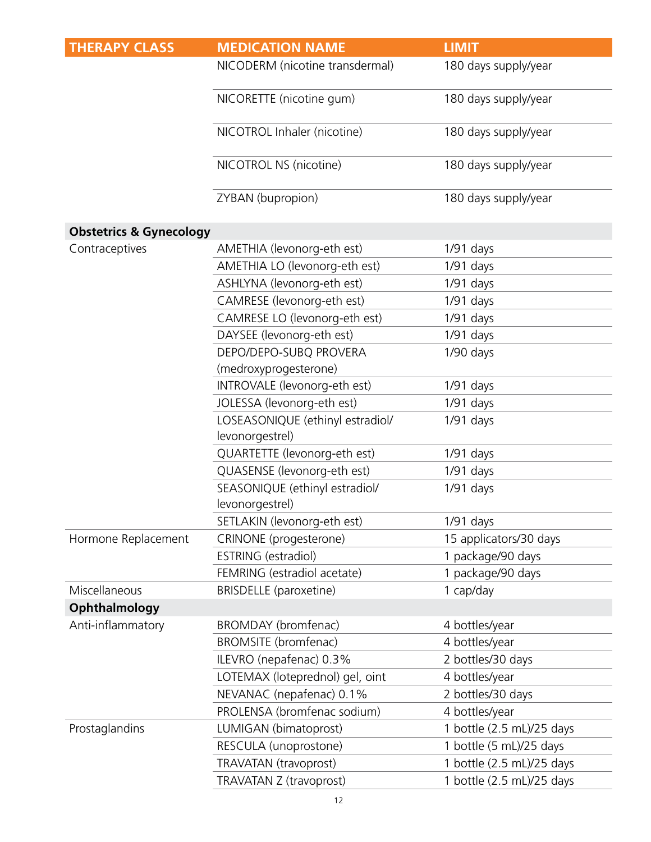| <b>THERAPY CLASS</b>               | <b>MEDICATION NAME</b>                              | <b>LIMIT</b>              |
|------------------------------------|-----------------------------------------------------|---------------------------|
|                                    | NICODERM (nicotine transdermal)                     | 180 days supply/year      |
|                                    | NICORETTE (nicotine gum)                            | 180 days supply/year      |
|                                    | NICOTROL Inhaler (nicotine)                         | 180 days supply/year      |
|                                    | NICOTROL NS (nicotine)                              | 180 days supply/year      |
|                                    | ZYBAN (bupropion)                                   | 180 days supply/year      |
| <b>Obstetrics &amp; Gynecology</b> |                                                     |                           |
| Contraceptives                     | AMETHIA (levonorg-eth est)                          | $1/91$ days               |
|                                    | AMETHIA LO (levonorg-eth est)                       | $1/91$ days               |
|                                    | ASHLYNA (levonorg-eth est)                          | $1/91$ days               |
|                                    | CAMRESE (levonorg-eth est)                          | $1/91$ days               |
|                                    | CAMRESE LO (levonorg-eth est)                       | $1/91$ days               |
|                                    | DAYSEE (levonorg-eth est)                           | $1/91$ days               |
|                                    | DEPO/DEPO-SUBQ PROVERA                              | $1/90$ days               |
|                                    | (medroxyprogesterone)                               |                           |
|                                    | INTROVALE (levonorg-eth est)                        | $1/91$ days               |
|                                    | JOLESSA (levonorg-eth est)                          | $1/91$ days               |
|                                    | LOSEASONIQUE (ethinyl estradiol/<br>levonorgestrel) | $1/91$ days               |
|                                    | QUARTETTE (levonorg-eth est)                        | $1/91$ days               |
|                                    | QUASENSE (levonorg-eth est)                         | $1/91$ days               |
|                                    | SEASONIQUE (ethinyl estradiol/<br>levonorgestrel)   | $1/91$ days               |
|                                    | SETLAKIN (levonorg-eth est)                         | $1/91$ days               |
| Hormone Replacement                | CRINONE (progesterone)                              | 15 applicators/30 days    |
|                                    | ESTRING (estradiol)                                 | 1 package/90 days         |
|                                    | FEMRING (estradiol acetate)                         | 1 package/90 days         |
| Miscellaneous                      | BRISDELLE (paroxetine)                              | 1 cap/day                 |
| Ophthalmology                      |                                                     |                           |
| Anti-inflammatory                  | BROMDAY (bromfenac)                                 | 4 bottles/year            |
|                                    | <b>BROMSITE</b> (bromfenac)                         | 4 bottles/year            |
|                                    | ILEVRO (nepafenac) 0.3%                             | 2 bottles/30 days         |
|                                    | LOTEMAX (loteprednol) gel, oint                     | 4 bottles/year            |
|                                    | NEVANAC (nepafenac) 0.1%                            | 2 bottles/30 days         |
|                                    | PROLENSA (bromfenac sodium)                         | 4 bottles/year            |
| Prostaglandins                     | LUMIGAN (bimatoprost)                               | 1 bottle (2.5 mL)/25 days |
|                                    | RESCULA (unoprostone)                               | 1 bottle (5 mL)/25 days   |
|                                    | TRAVATAN (travoprost)                               | 1 bottle (2.5 mL)/25 days |
|                                    | TRAVATAN Z (travoprost)                             | 1 bottle (2.5 mL)/25 days |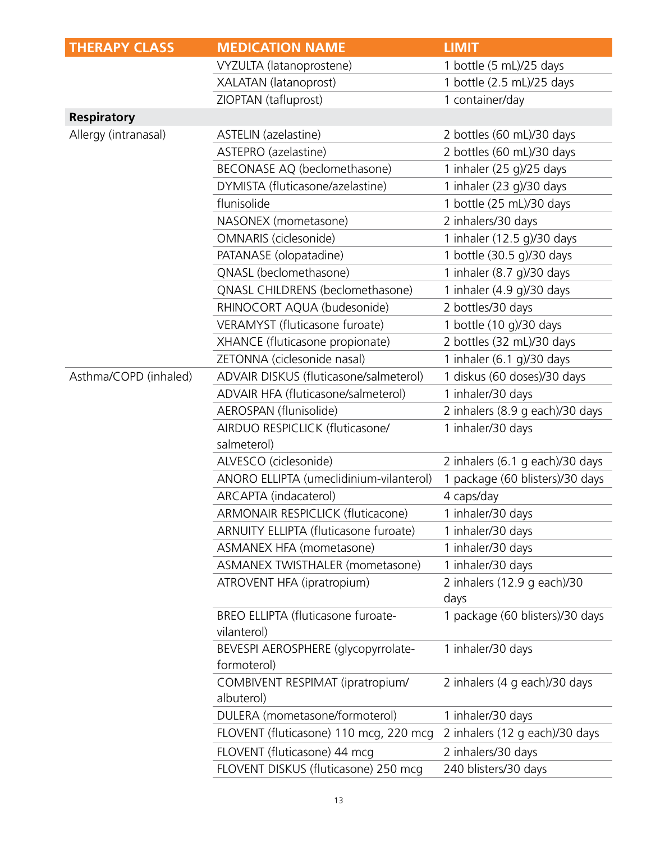| VYZULTA (latanoprostene)<br>1 bottle (5 mL)/25 days<br>1 bottle (2.5 mL)/25 days<br>XALATAN (latanoprost)<br>1 container/day<br>ZIOPTAN (tafluprost)<br><b>Respiratory</b><br>Allergy (intranasal)<br>ASTELIN (azelastine)<br>2 bottles (60 mL)/30 days<br>2 bottles (60 mL)/30 days<br>ASTEPRO (azelastine)<br>BECONASE AQ (beclomethasone)<br>1 inhaler (25 g)/25 days<br>DYMISTA (fluticasone/azelastine)<br>1 inhaler (23 g)/30 days<br>flunisolide<br>1 bottle (25 mL)/30 days<br>2 inhalers/30 days<br>NASONEX (mometasone)<br>OMNARIS (ciclesonide)<br>1 inhaler (12.5 g)/30 days<br>PATANASE (olopatadine)<br>1 bottle (30.5 g)/30 days<br>QNASL (beclomethasone)<br>1 inhaler (8.7 g)/30 days<br>QNASL CHILDRENS (beclomethasone)<br>1 inhaler (4.9 g)/30 days<br>RHINOCORT AQUA (budesonide)<br>2 bottles/30 days<br>VERAMYST (fluticasone furoate)<br>1 bottle (10 g)/30 days<br>XHANCE (fluticasone propionate)<br>2 bottles (32 mL)/30 days<br>ZETONNA (ciclesonide nasal)<br>1 inhaler (6.1 g)/30 days<br>Asthma/COPD (inhaled)<br>1 diskus (60 doses)/30 days<br>ADVAIR DISKUS (fluticasone/salmeterol) |
|------------------------------------------------------------------------------------------------------------------------------------------------------------------------------------------------------------------------------------------------------------------------------------------------------------------------------------------------------------------------------------------------------------------------------------------------------------------------------------------------------------------------------------------------------------------------------------------------------------------------------------------------------------------------------------------------------------------------------------------------------------------------------------------------------------------------------------------------------------------------------------------------------------------------------------------------------------------------------------------------------------------------------------------------------------------------------------------------------------------------|
|                                                                                                                                                                                                                                                                                                                                                                                                                                                                                                                                                                                                                                                                                                                                                                                                                                                                                                                                                                                                                                                                                                                        |
|                                                                                                                                                                                                                                                                                                                                                                                                                                                                                                                                                                                                                                                                                                                                                                                                                                                                                                                                                                                                                                                                                                                        |
|                                                                                                                                                                                                                                                                                                                                                                                                                                                                                                                                                                                                                                                                                                                                                                                                                                                                                                                                                                                                                                                                                                                        |
|                                                                                                                                                                                                                                                                                                                                                                                                                                                                                                                                                                                                                                                                                                                                                                                                                                                                                                                                                                                                                                                                                                                        |
|                                                                                                                                                                                                                                                                                                                                                                                                                                                                                                                                                                                                                                                                                                                                                                                                                                                                                                                                                                                                                                                                                                                        |
|                                                                                                                                                                                                                                                                                                                                                                                                                                                                                                                                                                                                                                                                                                                                                                                                                                                                                                                                                                                                                                                                                                                        |
|                                                                                                                                                                                                                                                                                                                                                                                                                                                                                                                                                                                                                                                                                                                                                                                                                                                                                                                                                                                                                                                                                                                        |
|                                                                                                                                                                                                                                                                                                                                                                                                                                                                                                                                                                                                                                                                                                                                                                                                                                                                                                                                                                                                                                                                                                                        |
|                                                                                                                                                                                                                                                                                                                                                                                                                                                                                                                                                                                                                                                                                                                                                                                                                                                                                                                                                                                                                                                                                                                        |
|                                                                                                                                                                                                                                                                                                                                                                                                                                                                                                                                                                                                                                                                                                                                                                                                                                                                                                                                                                                                                                                                                                                        |
|                                                                                                                                                                                                                                                                                                                                                                                                                                                                                                                                                                                                                                                                                                                                                                                                                                                                                                                                                                                                                                                                                                                        |
|                                                                                                                                                                                                                                                                                                                                                                                                                                                                                                                                                                                                                                                                                                                                                                                                                                                                                                                                                                                                                                                                                                                        |
|                                                                                                                                                                                                                                                                                                                                                                                                                                                                                                                                                                                                                                                                                                                                                                                                                                                                                                                                                                                                                                                                                                                        |
|                                                                                                                                                                                                                                                                                                                                                                                                                                                                                                                                                                                                                                                                                                                                                                                                                                                                                                                                                                                                                                                                                                                        |
|                                                                                                                                                                                                                                                                                                                                                                                                                                                                                                                                                                                                                                                                                                                                                                                                                                                                                                                                                                                                                                                                                                                        |
|                                                                                                                                                                                                                                                                                                                                                                                                                                                                                                                                                                                                                                                                                                                                                                                                                                                                                                                                                                                                                                                                                                                        |
|                                                                                                                                                                                                                                                                                                                                                                                                                                                                                                                                                                                                                                                                                                                                                                                                                                                                                                                                                                                                                                                                                                                        |
|                                                                                                                                                                                                                                                                                                                                                                                                                                                                                                                                                                                                                                                                                                                                                                                                                                                                                                                                                                                                                                                                                                                        |
|                                                                                                                                                                                                                                                                                                                                                                                                                                                                                                                                                                                                                                                                                                                                                                                                                                                                                                                                                                                                                                                                                                                        |
| ADVAIR HFA (fluticasone/salmeterol)<br>1 inhaler/30 days                                                                                                                                                                                                                                                                                                                                                                                                                                                                                                                                                                                                                                                                                                                                                                                                                                                                                                                                                                                                                                                               |
| AEROSPAN (flunisolide)<br>2 inhalers (8.9 g each)/30 days                                                                                                                                                                                                                                                                                                                                                                                                                                                                                                                                                                                                                                                                                                                                                                                                                                                                                                                                                                                                                                                              |
| AIRDUO RESPICLICK (fluticasone/<br>1 inhaler/30 days                                                                                                                                                                                                                                                                                                                                                                                                                                                                                                                                                                                                                                                                                                                                                                                                                                                                                                                                                                                                                                                                   |
| salmeterol)                                                                                                                                                                                                                                                                                                                                                                                                                                                                                                                                                                                                                                                                                                                                                                                                                                                                                                                                                                                                                                                                                                            |
| 2 inhalers (6.1 g each)/30 days<br>ALVESCO (ciclesonide)                                                                                                                                                                                                                                                                                                                                                                                                                                                                                                                                                                                                                                                                                                                                                                                                                                                                                                                                                                                                                                                               |
| ANORO ELLIPTA (umeclidinium-vilanterol)<br>1 package (60 blisters)/30 days                                                                                                                                                                                                                                                                                                                                                                                                                                                                                                                                                                                                                                                                                                                                                                                                                                                                                                                                                                                                                                             |
| ARCAPTA (indacaterol)<br>4 caps/day                                                                                                                                                                                                                                                                                                                                                                                                                                                                                                                                                                                                                                                                                                                                                                                                                                                                                                                                                                                                                                                                                    |
| <b>ARMONAIR RESPICLICK (fluticacone)</b><br>1 inhaler/30 days                                                                                                                                                                                                                                                                                                                                                                                                                                                                                                                                                                                                                                                                                                                                                                                                                                                                                                                                                                                                                                                          |
| ARNUITY ELLIPTA (fluticasone furoate)<br>1 inhaler/30 days                                                                                                                                                                                                                                                                                                                                                                                                                                                                                                                                                                                                                                                                                                                                                                                                                                                                                                                                                                                                                                                             |
| 1 inhaler/30 days<br><b>ASMANEX HFA (mometasone)</b>                                                                                                                                                                                                                                                                                                                                                                                                                                                                                                                                                                                                                                                                                                                                                                                                                                                                                                                                                                                                                                                                   |
| ASMANEX TWISTHALER (mometasone)<br>1 inhaler/30 days                                                                                                                                                                                                                                                                                                                                                                                                                                                                                                                                                                                                                                                                                                                                                                                                                                                                                                                                                                                                                                                                   |
| ATROVENT HFA (ipratropium)<br>2 inhalers (12.9 g each)/30<br>days                                                                                                                                                                                                                                                                                                                                                                                                                                                                                                                                                                                                                                                                                                                                                                                                                                                                                                                                                                                                                                                      |
| BREO ELLIPTA (fluticasone furoate-<br>1 package (60 blisters)/30 days<br>vilanterol)                                                                                                                                                                                                                                                                                                                                                                                                                                                                                                                                                                                                                                                                                                                                                                                                                                                                                                                                                                                                                                   |
| BEVESPI AEROSPHERE (glycopyrrolate-<br>1 inhaler/30 days<br>formoterol)                                                                                                                                                                                                                                                                                                                                                                                                                                                                                                                                                                                                                                                                                                                                                                                                                                                                                                                                                                                                                                                |
| 2 inhalers (4 g each)/30 days<br>COMBIVENT RESPIMAT (ipratropium/<br>albuterol)                                                                                                                                                                                                                                                                                                                                                                                                                                                                                                                                                                                                                                                                                                                                                                                                                                                                                                                                                                                                                                        |
| DULERA (mometasone/formoterol)<br>1 inhaler/30 days                                                                                                                                                                                                                                                                                                                                                                                                                                                                                                                                                                                                                                                                                                                                                                                                                                                                                                                                                                                                                                                                    |
| FLOVENT (fluticasone) 110 mcg, 220 mcg<br>2 inhalers (12 g each)/30 days                                                                                                                                                                                                                                                                                                                                                                                                                                                                                                                                                                                                                                                                                                                                                                                                                                                                                                                                                                                                                                               |
| FLOVENT (fluticasone) 44 mcg<br>2 inhalers/30 days                                                                                                                                                                                                                                                                                                                                                                                                                                                                                                                                                                                                                                                                                                                                                                                                                                                                                                                                                                                                                                                                     |
| FLOVENT DISKUS (fluticasone) 250 mcg<br>240 blisters/30 days                                                                                                                                                                                                                                                                                                                                                                                                                                                                                                                                                                                                                                                                                                                                                                                                                                                                                                                                                                                                                                                           |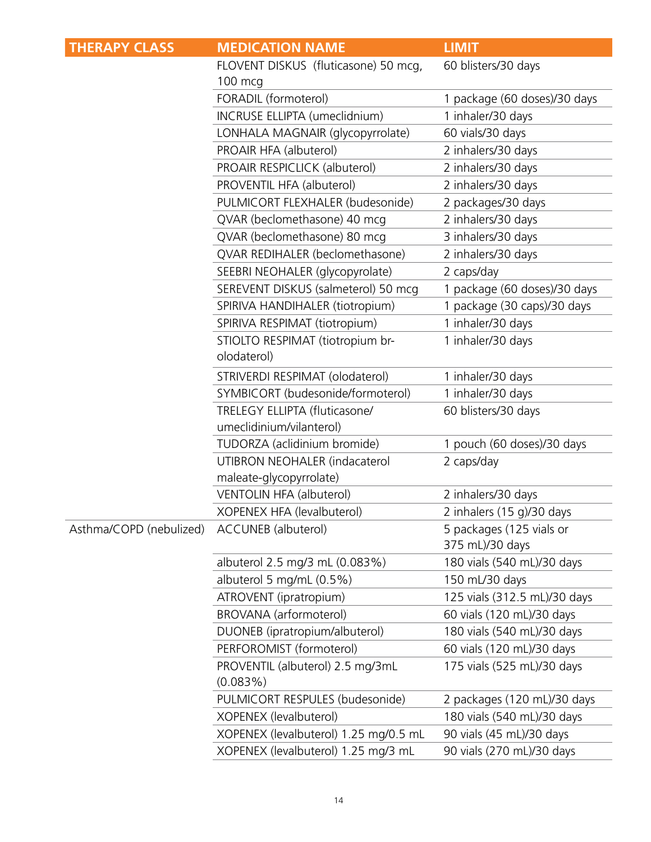| <b>THERAPY CLASS</b>    | <b>MEDICATION NAME</b>                | <b>LIMIT</b>                 |
|-------------------------|---------------------------------------|------------------------------|
|                         | FLOVENT DISKUS (fluticasone) 50 mcg,  | 60 blisters/30 days          |
|                         | 100 mcg                               |                              |
|                         | FORADIL (formoterol)                  | 1 package (60 doses)/30 days |
|                         | INCRUSE ELLIPTA (umeclidnium)         | 1 inhaler/30 days            |
|                         | LONHALA MAGNAIR (glycopyrrolate)      | 60 vials/30 days             |
|                         | PROAIR HFA (albuterol)                | 2 inhalers/30 days           |
|                         | PROAIR RESPICLICK (albuterol)         | 2 inhalers/30 days           |
|                         | PROVENTIL HFA (albuterol)             | 2 inhalers/30 days           |
|                         | PULMICORT FLEXHALER (budesonide)      | 2 packages/30 days           |
|                         | QVAR (beclomethasone) 40 mcg          | 2 inhalers/30 days           |
|                         | QVAR (beclomethasone) 80 mcg          | 3 inhalers/30 days           |
|                         | QVAR REDIHALER (beclomethasone)       | 2 inhalers/30 days           |
|                         | SEEBRI NEOHALER (glycopyrolate)       | 2 caps/day                   |
|                         | SEREVENT DISKUS (salmeterol) 50 mcg   | 1 package (60 doses)/30 days |
|                         | SPIRIVA HANDIHALER (tiotropium)       | 1 package (30 caps)/30 days  |
|                         | SPIRIVA RESPIMAT (tiotropium)         | 1 inhaler/30 days            |
|                         | STIOLTO RESPIMAT (tiotropium br-      | 1 inhaler/30 days            |
|                         | olodaterol)                           |                              |
|                         | STRIVERDI RESPIMAT (olodaterol)       | 1 inhaler/30 days            |
|                         | SYMBICORT (budesonide/formoterol)     | 1 inhaler/30 days            |
|                         | TRELEGY ELLIPTA (fluticasone/         | 60 blisters/30 days          |
|                         | umeclidinium/vilanterol)              |                              |
|                         | TUDORZA (aclidinium bromide)          | 1 pouch (60 doses)/30 days   |
|                         | UTIBRON NEOHALER (indacaterol         | 2 caps/day                   |
|                         | maleate-glycopyrrolate)               |                              |
|                         | VENTOLIN HFA (albuterol)              | 2 inhalers/30 days           |
|                         | XOPENEX HFA (levalbuterol)            | 2 inhalers (15 g)/30 days    |
| Asthma/COPD (nebulized) | ACCUNEB (albuterol)                   | 5 packages (125 vials or     |
|                         |                                       | 375 mL)/30 days              |
|                         | albuterol 2.5 mg/3 mL (0.083%)        | 180 vials (540 mL)/30 days   |
|                         | albuterol 5 mg/mL (0.5%)              | 150 mL/30 days               |
|                         | ATROVENT (ipratropium)                | 125 vials (312.5 mL)/30 days |
|                         | BROVANA (arformoterol)                | 60 vials (120 mL)/30 days    |
|                         | DUONEB (ipratropium/albuterol)        | 180 vials (540 mL)/30 days   |
|                         | PERFOROMIST (formoterol)              | 60 vials (120 mL)/30 days    |
|                         | PROVENTIL (albuterol) 2.5 mg/3mL      | 175 vials (525 mL)/30 days   |
|                         | (0.083%)                              |                              |
|                         | PULMICORT RESPULES (budesonide)       | 2 packages (120 mL)/30 days  |
|                         | XOPENEX (levalbuterol)                | 180 vials (540 mL)/30 days   |
|                         | XOPENEX (levalbuterol) 1.25 mg/0.5 mL | 90 vials (45 mL)/30 days     |
|                         | XOPENEX (levalbuterol) 1.25 mg/3 mL   | 90 vials (270 mL)/30 days    |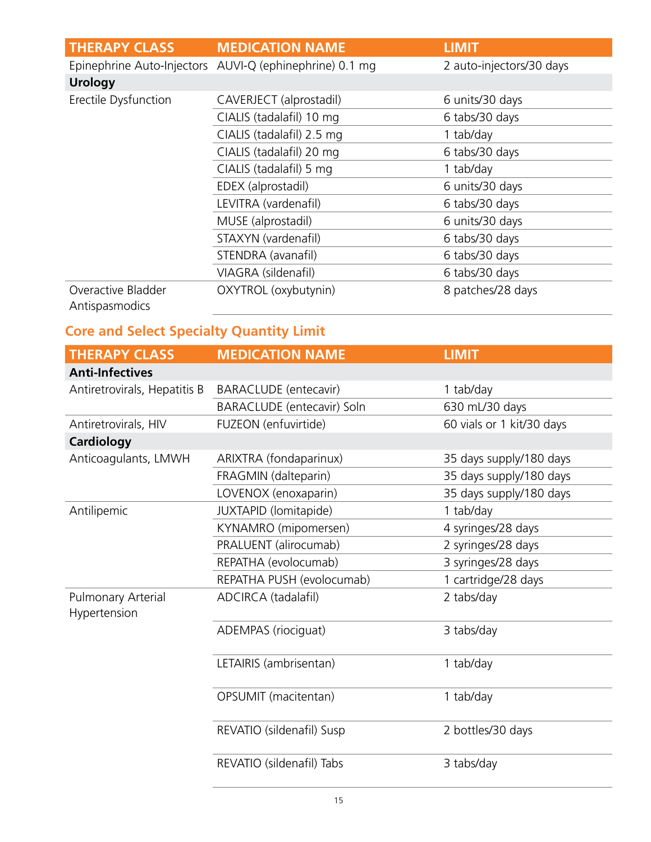| <b>THERAPY CLASS</b>                 | <b>MEDICATION NAME</b>                                  | <b>LIMIT</b>             |
|--------------------------------------|---------------------------------------------------------|--------------------------|
|                                      | Epinephrine Auto-Injectors AUVI-Q (ephinephrine) 0.1 mg | 2 auto-injectors/30 days |
| <b>Urology</b>                       |                                                         |                          |
| Erectile Dysfunction                 | CAVERJECT (alprostadil)                                 | 6 units/30 days          |
|                                      | CIALIS (tadalafil) 10 mg                                | 6 tabs/30 days           |
|                                      | CIALIS (tadalafil) 2.5 mg                               | 1 tab/day                |
|                                      | CIALIS (tadalafil) 20 mg                                | 6 tabs/30 days           |
|                                      | CIALIS (tadalafil) 5 mg                                 | 1 tab/day                |
|                                      | EDEX (alprostadil)                                      | 6 units/30 days          |
|                                      | LEVITRA (vardenafil)                                    | 6 tabs/30 days           |
|                                      | MUSE (alprostadil)                                      | 6 units/30 days          |
|                                      | STAXYN (vardenafil)                                     | 6 tabs/30 days           |
|                                      | STENDRA (avanafil)                                      | 6 tabs/30 days           |
|                                      | VIAGRA (sildenafil)                                     | 6 tabs/30 days           |
| Overactive Bladder<br>Antispasmodics | OXYTROL (oxybutynin)                                    | 8 patches/28 days        |

## **Core and Select Specialty Quantity Limit**

| <b>THERAPY CLASS</b>               | <b>MEDICATION NAME</b>            | <b>LIMIT</b>              |
|------------------------------------|-----------------------------------|---------------------------|
| <b>Anti-Infectives</b>             |                                   |                           |
| Antiretrovirals, Hepatitis B       | <b>BARACLUDE</b> (entecavir)      | 1 tab/day                 |
|                                    | <b>BARACLUDE</b> (entecavir) Soln | 630 mL/30 days            |
| Antiretrovirals, HIV               | FUZEON (enfuvirtide)              | 60 vials or 1 kit/30 days |
| Cardiology                         |                                   |                           |
| Anticoagulants, LMWH               | ARIXTRA (fondaparinux)            | 35 days supply/180 days   |
|                                    | FRAGMIN (dalteparin)              | 35 days supply/180 days   |
|                                    | LOVENOX (enoxaparin)              | 35 days supply/180 days   |
| Antilipemic                        | JUXTAPID (lomitapide)             | 1 tab/day                 |
|                                    | KYNAMRO (mipomersen)              | 4 syringes/28 days        |
|                                    | PRALUENT (alirocumab)             | 2 syringes/28 days        |
|                                    | REPATHA (evolocumab)              | 3 syringes/28 days        |
|                                    | REPATHA PUSH (evolocumab)         | 1 cartridge/28 days       |
| Pulmonary Arterial<br>Hypertension | ADCIRCA (tadalafil)               | 2 tabs/day                |
|                                    | ADEMPAS (riociguat)               | 3 tabs/day                |
|                                    | LETAIRIS (ambrisentan)            | 1 tab/day                 |
|                                    | OPSUMIT (macitentan)              | 1 tab/day                 |
|                                    | REVATIO (sildenafil) Susp         | 2 bottles/30 days         |
|                                    | REVATIO (sildenafil) Tabs         | 3 tabs/day                |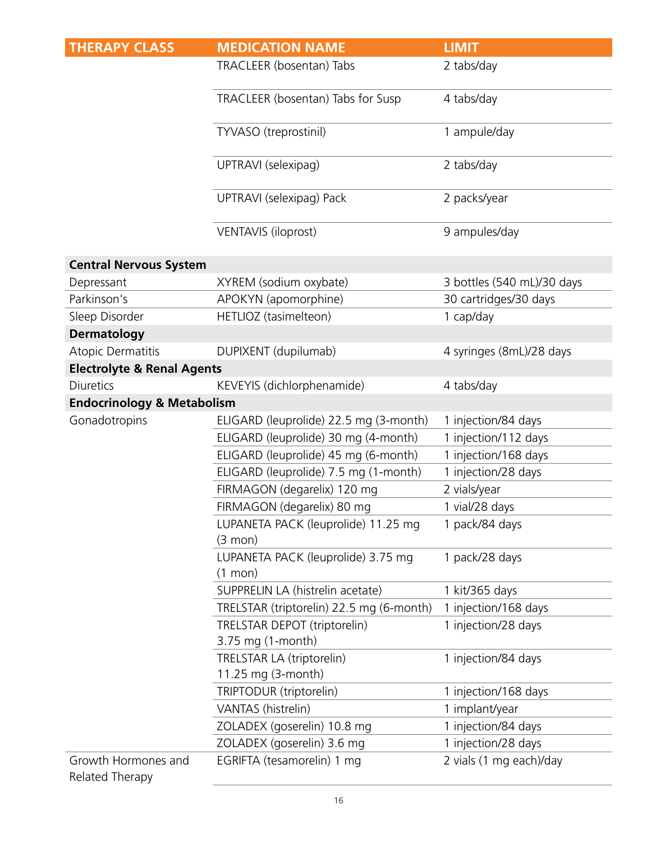| <b>THERAPY CLASS</b>                   | <b>MEDICATION NAME</b>                                  | <b>LIMIT</b>               |
|----------------------------------------|---------------------------------------------------------|----------------------------|
|                                        | TRACLEER (bosentan) Tabs                                | 2 tabs/day                 |
|                                        | TRACLEER (bosentan) Tabs for Susp                       | 4 tabs/day                 |
|                                        | TYVASO (treprostinil)                                   | 1 ampule/day               |
|                                        | UPTRAVI (selexipag)                                     | 2 tabs/day                 |
|                                        | UPTRAVI (selexipag) Pack                                | 2 packs/year               |
|                                        | <b>VENTAVIS (iloprost)</b>                              | 9 ampules/day              |
| <b>Central Nervous System</b>          |                                                         |                            |
| Depressant                             | XYREM (sodium oxybate)                                  | 3 bottles (540 mL)/30 days |
| Parkinson's                            | APOKYN (apomorphine)                                    | 30 cartridges/30 days      |
| Sleep Disorder                         | HETLIOZ (tasimelteon)                                   | 1 cap/day                  |
| <b>Dermatology</b>                     |                                                         |                            |
| <b>Atopic Dermatitis</b>               | DUPIXENT (dupilumab)                                    | 4 syringes (8mL)/28 days   |
| <b>Electrolyte &amp; Renal Agents</b>  |                                                         |                            |
| <b>Diuretics</b>                       | KEVEYIS (dichlorphenamide)                              | 4 tabs/day                 |
| <b>Endocrinology &amp; Metabolism</b>  |                                                         |                            |
| Gonadotropins                          | ELIGARD (leuprolide) 22.5 mg (3-month)                  | 1 injection/84 days        |
|                                        | ELIGARD (leuprolide) 30 mg (4-month)                    | 1 injection/112 days       |
|                                        | ELIGARD (leuprolide) 45 mg (6-month)                    | 1 injection/168 days       |
|                                        | ELIGARD (leuprolide) 7.5 mg (1-month)                   | 1 injection/28 days        |
|                                        | FIRMAGON (degarelix) 120 mg                             | 2 vials/year               |
|                                        | FIRMAGON (degarelix) 80 mg                              | 1 vial/28 days             |
|                                        | LUPANETA PACK (leuprolide) 11.25 mg                     | 1 pack/84 days             |
|                                        | $(3 \text{ mon})$                                       |                            |
|                                        | LUPANETA PACK (leuprolide) 3.75 mg<br>$(1 \text{ mon})$ | 1 pack/28 days             |
|                                        | SUPPRELIN LA (histrelin acetate)                        | 1 kit/365 days             |
|                                        | TRELSTAR (triptorelin) 22.5 mg (6-month)                | 1 injection/168 days       |
|                                        | TRELSTAR DEPOT (triptorelin)                            | 1 injection/28 days        |
|                                        | 3.75 mg (1-month)                                       |                            |
|                                        | TRELSTAR LA (triptorelin)                               | 1 injection/84 days        |
|                                        | 11.25 mg (3-month)                                      |                            |
|                                        | TRIPTODUR (triptorelin)                                 | 1 injection/168 days       |
|                                        | VANTAS (histrelin)                                      | 1 implant/year             |
|                                        | ZOLADEX (goserelin) 10.8 mg                             | 1 injection/84 days        |
|                                        | ZOLADEX (goserelin) 3.6 mg                              | 1 injection/28 days        |
| Growth Hormones and<br>Related Therapy | EGRIFTA (tesamorelin) 1 mg                              | 2 vials (1 mg each)/day    |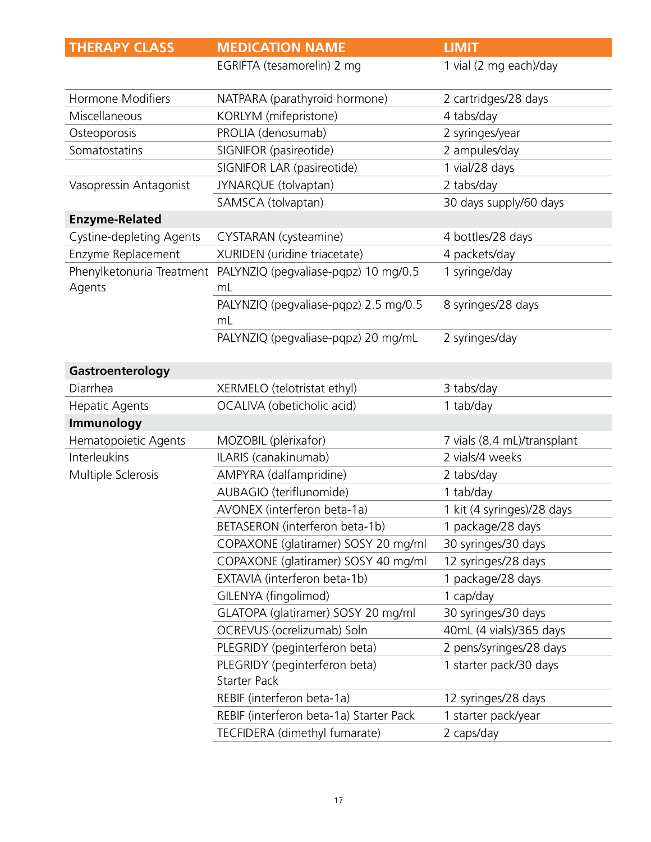| <b>THERAPY CLASS</b>                | <b>MEDICATION NAME</b>                               | <b>LIMIT</b>                |
|-------------------------------------|------------------------------------------------------|-----------------------------|
|                                     | EGRIFTA (tesamorelin) 2 mg                           | 1 vial (2 mg each)/day      |
| <b>Hormone Modifiers</b>            | NATPARA (parathyroid hormone)                        | 2 cartridges/28 days        |
| Miscellaneous                       | KORLYM (mifepristone)                                | 4 tabs/day                  |
| Osteoporosis                        | PROLIA (denosumab)                                   | 2 syringes/year             |
| Somatostatins                       | SIGNIFOR (pasireotide)                               | 2 ampules/day               |
|                                     | SIGNIFOR LAR (pasireotide)                           | 1 vial/28 days              |
| Vasopressin Antagonist              | JYNARQUE (tolvaptan)                                 | 2 tabs/day                  |
|                                     | SAMSCA (tolvaptan)                                   | 30 days supply/60 days      |
| <b>Enzyme-Related</b>               |                                                      |                             |
| Cystine-depleting Agents            | CYSTARAN (cysteamine)                                | 4 bottles/28 days           |
| Enzyme Replacement                  | XURIDEN (uridine triacetate)                         | 4 packets/day               |
| Phenylketonuria Treatment<br>Agents | PALYNZIQ (pegvaliase-pqpz) 10 mg/0.5<br>mL           | 1 syringe/day               |
|                                     | PALYNZIQ (pegvaliase-pqpz) 2.5 mg/0.5<br>mL          | 8 syringes/28 days          |
|                                     | PALYNZIQ (pegvaliase-pqpz) 20 mg/mL                  | 2 syringes/day              |
| Gastroenterology                    |                                                      |                             |
| Diarrhea                            | XERMELO (telotristat ethyl)                          | 3 tabs/day                  |
| <b>Hepatic Agents</b>               | OCALIVA (obeticholic acid)                           | 1 tab/day                   |
| Immunology                          |                                                      |                             |
| Hematopoietic Agents                | MOZOBIL (plerixafor)                                 | 7 vials (8.4 mL)/transplant |
| <b>Interleukins</b>                 | ILARIS (canakinumab)                                 | 2 vials/4 weeks             |
| Multiple Sclerosis                  | AMPYRA (dalfampridine)                               | 2 tabs/day                  |
|                                     | AUBAGIO (teriflunomide)                              | 1 tab/day                   |
|                                     | AVONEX (interferon beta-1a)                          | 1 kit (4 syringes)/28 days  |
|                                     | BETASERON (interferon beta-1b)                       | 1 package/28 days           |
|                                     | COPAXONE (glatiramer) SOSY 20 mg/ml                  | 30 syringes/30 days         |
|                                     | COPAXONE (glatiramer) SOSY 40 mg/ml                  | 12 syringes/28 days         |
|                                     | EXTAVIA (interferon beta-1b)                         | 1 package/28 days           |
|                                     | GILENYA (fingolimod)                                 | 1 cap/day                   |
|                                     | GLATOPA (glatiramer) SOSY 20 mg/ml                   | 30 syringes/30 days         |
|                                     | OCREVUS (ocrelizumab) Soln                           | 40mL (4 vials)/365 days     |
|                                     | PLEGRIDY (peginterferon beta)                        | 2 pens/syringes/28 days     |
|                                     | PLEGRIDY (peginterferon beta)<br><b>Starter Pack</b> | 1 starter pack/30 days      |
|                                     | REBIF (interferon beta-1a)                           | 12 syringes/28 days         |
|                                     | REBIF (interferon beta-1a) Starter Pack              | 1 starter pack/year         |
|                                     | TECFIDERA (dimethyl fumarate)                        | 2 caps/day                  |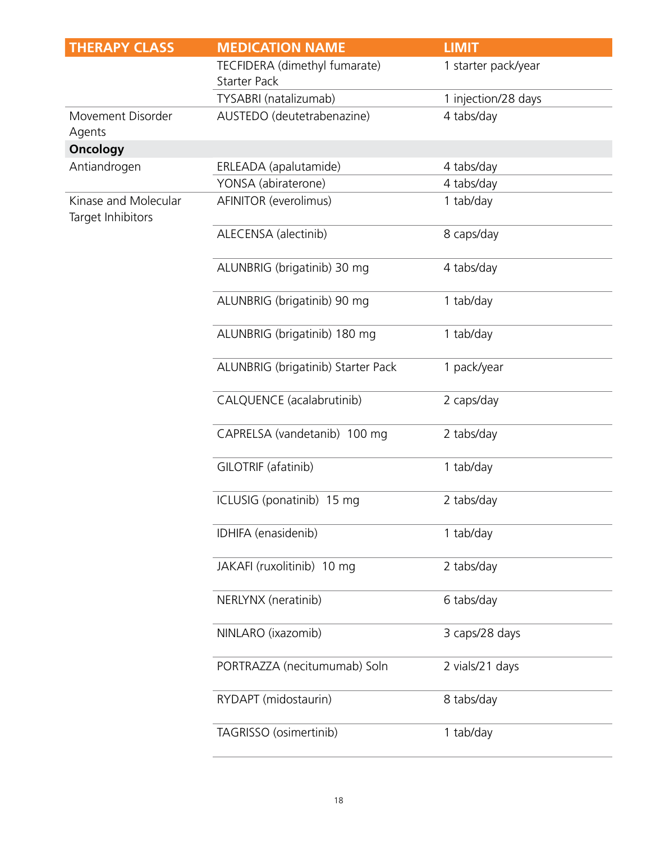| <b>THERAPY CLASS</b>                      | <b>MEDICATION NAME</b>                               | <b>LIMIT</b>        |
|-------------------------------------------|------------------------------------------------------|---------------------|
|                                           | TECFIDERA (dimethyl fumarate)<br><b>Starter Pack</b> | 1 starter pack/year |
|                                           | TYSABRI (natalizumab)                                | 1 injection/28 days |
| Movement Disorder<br>Agents               | AUSTEDO (deutetrabenazine)                           | 4 tabs/day          |
| <b>Oncology</b>                           |                                                      |                     |
| Antiandrogen                              | ERLEADA (apalutamide)                                | 4 tabs/day          |
|                                           | YONSA (abiraterone)                                  | 4 tabs/day          |
| Kinase and Molecular<br>Target Inhibitors | AFINITOR (everolimus)                                | 1 tab/day           |
|                                           | ALECENSA (alectinib)                                 | 8 caps/day          |
|                                           | ALUNBRIG (brigatinib) 30 mg                          | 4 tabs/day          |
|                                           | ALUNBRIG (brigatinib) 90 mg                          | 1 tab/day           |
|                                           | ALUNBRIG (brigatinib) 180 mg                         | 1 tab/day           |
|                                           | ALUNBRIG (brigatinib) Starter Pack                   | 1 pack/year         |
|                                           | CALQUENCE (acalabrutinib)                            | 2 caps/day          |
|                                           | CAPRELSA (vandetanib) 100 mg                         | 2 tabs/day          |
|                                           | GILOTRIF (afatinib)                                  | 1 tab/day           |
|                                           | ICLUSIG (ponatinib) 15 mg                            | 2 tabs/day          |
|                                           | IDHIFA (enasidenib)                                  | 1 tab/day           |
|                                           | JAKAFI (ruxolitinib) 10 mg                           | 2 tabs/day          |
|                                           | NERLYNX (neratinib)                                  | 6 tabs/day          |
|                                           | NINLARO (ixazomib)                                   | 3 caps/28 days      |
|                                           | PORTRAZZA (necitumumab) Soln                         | 2 vials/21 days     |
|                                           | RYDAPT (midostaurin)                                 | 8 tabs/day          |
|                                           | TAGRISSO (osimertinib)                               | 1 tab/day           |